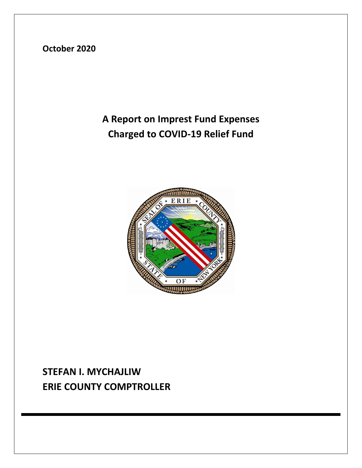**October 2020**

## **A Report on Imprest Fund Expenses Charged to COVID-19 Relief Fund**



## **STEFAN I. MYCHAJLIW ERIE COUNTY COMPTROLLER**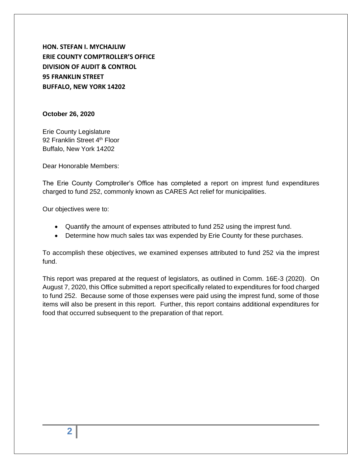**HON. STEFAN I. MYCHAJLIW ERIE COUNTY COMPTROLLER'S OFFICE DIVISION OF AUDIT & CONTROL 95 FRANKLIN STREET BUFFALO, NEW YORK 14202**

#### **October 26, 2020**

Erie County Legislature 92 Franklin Street 4<sup>th</sup> Floor Buffalo, New York 14202

Dear Honorable Members:

The Erie County Comptroller's Office has completed a report on imprest fund expenditures charged to fund 252, commonly known as CARES Act relief for municipalities.

Our objectives were to:

- Quantify the amount of expenses attributed to fund 252 using the imprest fund.
- Determine how much sales tax was expended by Erie County for these purchases.

To accomplish these objectives, we examined expenses attributed to fund 252 via the imprest fund.

This report was prepared at the request of legislators, as outlined in Comm. 16E-3 (2020). On August 7, 2020, this Office submitted a report specifically related to expenditures for food charged to fund 252. Because some of those expenses were paid using the imprest fund, some of those items will also be present in this report. Further, this report contains additional expenditures for food that occurred subsequent to the preparation of that report.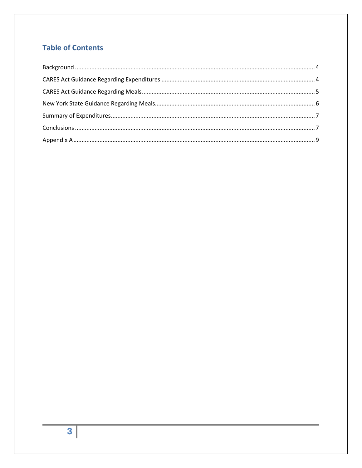#### **Table of Contents**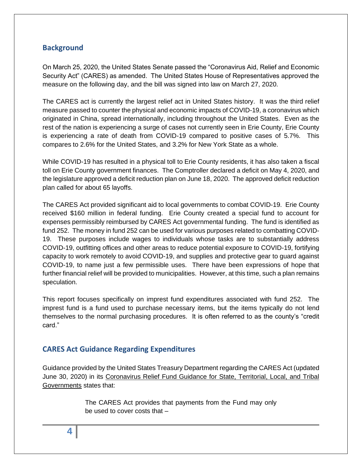#### <span id="page-3-0"></span>**Background**

On March 25, 2020, the United States Senate passed the "Coronavirus Aid, Relief and Economic Security Act" (CARES) as amended. The United States House of Representatives approved the measure on the following day, and the bill was signed into law on March 27, 2020.

The CARES act is currently the largest relief act in United States history. It was the third relief measure passed to counter the physical and economic impacts of COVID-19, a coronavirus which originated in China, spread internationally, including throughout the United States. Even as the rest of the nation is experiencing a surge of cases not currently seen in Erie County, Erie County is experiencing a rate of death from COVID-19 compared to positive cases of 5.7%. This compares to 2.6% for the United States, and 3.2% for New York State as a whole.

While COVID-19 has resulted in a physical toll to Erie County residents, it has also taken a fiscal toll on Erie County government finances. The Comptroller declared a deficit on May 4, 2020, and the legislature approved a deficit reduction plan on June 18, 2020. The approved deficit reduction plan called for about 65 layoffs.

The CARES Act provided significant aid to local governments to combat COVID-19. Erie County received \$160 million in federal funding. Erie County created a special fund to account for expenses permissibly reimbursed by CARES Act governmental funding. The fund is identified as fund 252. The money in fund 252 can be used for various purposes related to combatting COVID-19. These purposes include wages to individuals whose tasks are to substantially address COVID-19, outfitting offices and other areas to reduce potential exposure to COVID-19, fortifying capacity to work remotely to avoid COVID-19, and supplies and protective gear to guard against COVID-19, to name just a few permissible uses. There have been expressions of hope that further financial relief will be provided to municipalities. However, at this time, such a plan remains speculation.

This report focuses specifically on imprest fund expenditures associated with fund 252. The imprest fund is a fund used to purchase necessary items, but the items typically do not lend themselves to the normal purchasing procedures. It is often referred to as the county's "credit card."

#### <span id="page-3-1"></span>**CARES Act Guidance Regarding Expenditures**

Guidance provided by the United States Treasury Department regarding the CARES Act (updated June 30, 2020) in its Coronavirus Relief Fund Guidance for State, Territorial, Local, and Tribal Governments states that:

> The CARES Act provides that payments from the Fund may only be used to cover costs that –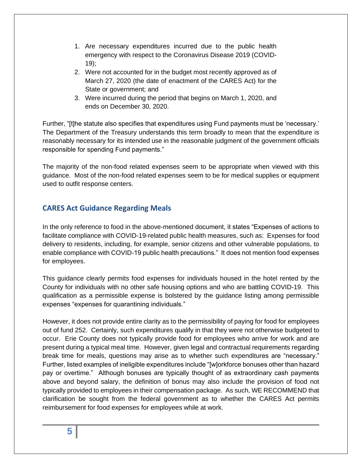- 1. Are necessary expenditures incurred due to the public health emergency with respect to the Coronavirus Disease 2019 (COVID-19);
- 2. Were not accounted for in the budget most recently approved as of March 27, 2020 (the date of enactment of the CARES Act) for the State or government; and
- 3. Were incurred during the period that begins on March 1, 2020, and ends on December 30, 2020.

Further, "[t]he statute also specifies that expenditures using Fund payments must be 'necessary.' The Department of the Treasury understands this term broadly to mean that the expenditure is reasonably necessary for its intended use in the reasonable judgment of the government officials responsible for spending Fund payments."

The majority of the non-food related expenses seem to be appropriate when viewed with this guidance. Most of the non-food related expenses seem to be for medical supplies or equipment used to outfit response centers.

#### <span id="page-4-0"></span>**CARES Act Guidance Regarding Meals**

In the only reference to food in the above-mentioned document, it states "Expenses of actions to facilitate compliance with COVID-19-related public health measures, such as: Expenses for food delivery to residents, including, for example, senior citizens and other vulnerable populations, to enable compliance with COVID-19 public health precautions." It does not mention food expenses for employees.

This guidance clearly permits food expenses for individuals housed in the hotel rented by the County for individuals with no other safe housing options and who are battling COVID-19. This qualification as a permissible expense is bolstered by the guidance listing among permissible expenses "expenses for quarantining individuals."

However, it does not provide entire clarity as to the permissibility of paying for food for employees out of fund 252. Certainly, such expenditures qualify in that they were not otherwise budgeted to occur. Erie County does not typically provide food for employees who arrive for work and are present during a typical meal time. However, given legal and contractual requirements regarding break time for meals, questions may arise as to whether such expenditures are "necessary." Further, listed examples of ineligible expenditures include "[w]orkforce bonuses other than hazard pay or overtime." Although bonuses are typically thought of as extraordinary cash payments above and beyond salary, the definition of bonus may also include the provision of food not typically provided to employees in their compensation package. As such, WE RECOMMEND that clarification be sought from the federal government as to whether the CARES Act permits reimbursement for food expenses for employees while at work.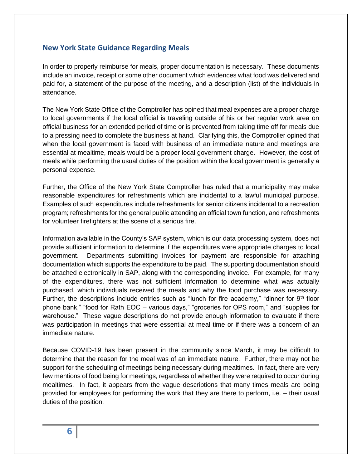#### <span id="page-5-0"></span>**New York State Guidance Regarding Meals**

In order to properly reimburse for meals, proper documentation is necessary. These documents include an invoice, receipt or some other document which evidences what food was delivered and paid for, a statement of the purpose of the meeting, and a description (list) of the individuals in attendance.

The New York State Office of the Comptroller has opined that meal expenses are a proper charge to local governments if the local official is traveling outside of his or her regular work area on official business for an extended period of time or is prevented from taking time off for meals due to a pressing need to complete the business at hand. Clarifying this, the Comptroller opined that when the local government is faced with business of an immediate nature and meetings are essential at mealtime, meals would be a proper local government charge. However, the cost of meals while performing the usual duties of the position within the local government is generally a personal expense.

Further, the Office of the New York State Comptroller has ruled that a municipality may make reasonable expenditures for refreshments which are incidental to a lawful municipal purpose. Examples of such expenditures include refreshments for senior citizens incidental to a recreation program; refreshments for the general public attending an official town function, and refreshments for volunteer firefighters at the scene of a serious fire.

Information available in the County's SAP system, which is our data processing system, does not provide sufficient information to determine if the expenditures were appropriate charges to local government. Departments submitting invoices for payment are responsible for attaching documentation which supports the expenditure to be paid. The supporting documentation should be attached electronically in SAP, along with the corresponding invoice. For example, for many of the expenditures, there was not sufficient information to determine what was actually purchased, which individuals received the meals and why the food purchase was necessary. Further, the descriptions include entries such as "lunch for fire academy," "dinner for  $9<sup>th</sup>$  floor phone bank," "food for Rath EOC – various days," "groceries for OPS room," and "supplies for warehouse." These vague descriptions do not provide enough information to evaluate if there was participation in meetings that were essential at meal time or if there was a concern of an immediate nature.

Because COVID-19 has been present in the community since March, it may be difficult to determine that the reason for the meal was of an immediate nature. Further, there may not be support for the scheduling of meetings being necessary during mealtimes. In fact, there are very few mentions of food being for meetings, regardless of whether they were required to occur during mealtimes. In fact, it appears from the vague descriptions that many times meals are being provided for employees for performing the work that they are there to perform, i.e. – their usual duties of the position.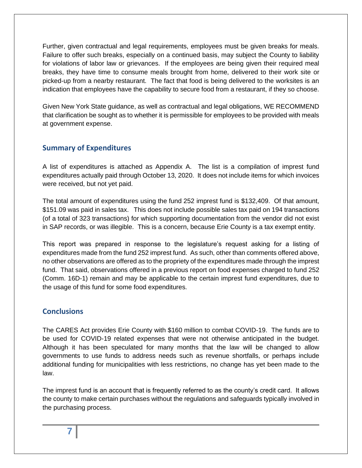Further, given contractual and legal requirements, employees must be given breaks for meals. Failure to offer such breaks, especially on a continued basis, may subject the County to liability for violations of labor law or grievances. If the employees are being given their required meal breaks, they have time to consume meals brought from home, delivered to their work site or picked-up from a nearby restaurant. The fact that food is being delivered to the worksites is an indication that employees have the capability to secure food from a restaurant, if they so choose.

Given New York State guidance, as well as contractual and legal obligations, WE RECOMMEND that clarification be sought as to whether it is permissible for employees to be provided with meals at government expense.

#### <span id="page-6-0"></span>**Summary of Expenditures**

A list of expenditures is attached as Appendix A. The list is a compilation of imprest fund expenditures actually paid through October 13, 2020. It does not include items for which invoices were received, but not yet paid.

The total amount of expenditures using the fund 252 imprest fund is \$132,409. Of that amount, \$151.09 was paid in sales tax. This does not include possible sales tax paid on 194 transactions (of a total of 323 transactions) for which supporting documentation from the vendor did not exist in SAP records, or was illegible. This is a concern, because Erie County is a tax exempt entity.

This report was prepared in response to the legislature's request asking for a listing of expenditures made from the fund 252 imprest fund. As such, other than comments offered above, no other observations are offered as to the propriety of the expenditures made through the imprest fund. That said, observations offered in a previous report on food expenses charged to fund 252 (Comm. 16D-1) remain and may be applicable to the certain imprest fund expenditures, due to the usage of this fund for some food expenditures.

#### <span id="page-6-1"></span>**Conclusions**

The CARES Act provides Erie County with \$160 million to combat COVID-19. The funds are to be used for COVID-19 related expenses that were not otherwise anticipated in the budget. Although it has been speculated for many months that the law will be changed to allow governments to use funds to address needs such as revenue shortfalls, or perhaps include additional funding for municipalities with less restrictions, no change has yet been made to the law.

The imprest fund is an account that is frequently referred to as the county's credit card. It allows the county to make certain purchases without the regulations and safeguards typically involved in the purchasing process.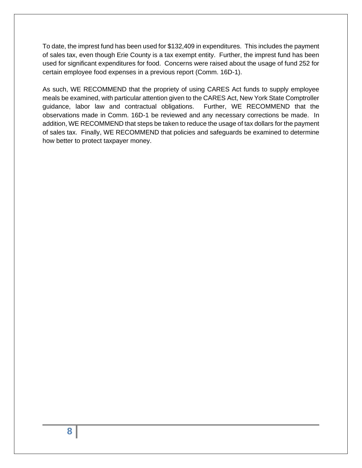To date, the imprest fund has been used for \$132,409 in expenditures. This includes the payment of sales tax, even though Erie County is a tax exempt entity. Further, the imprest fund has been used for significant expenditures for food. Concerns were raised about the usage of fund 252 for certain employee food expenses in a previous report (Comm. 16D-1).

As such, WE RECOMMEND that the propriety of using CARES Act funds to supply employee meals be examined, with particular attention given to the CARES Act, New York State Comptroller guidance, labor law and contractual obligations. Further, WE RECOMMEND that the observations made in Comm. 16D-1 be reviewed and any necessary corrections be made. In addition, WE RECOMMEND that steps be taken to reduce the usage of tax dollars for the payment of sales tax. Finally, WE RECOMMEND that policies and safeguards be examined to determine how better to protect taxpayer money.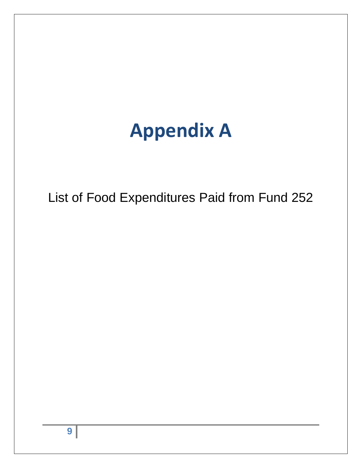# **Appendix A**

<span id="page-8-0"></span>List of Food Expenditures Paid from Fund 252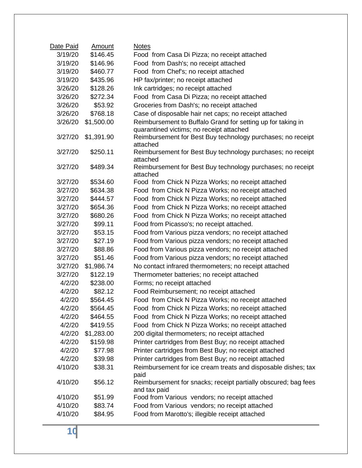| Date Paid | <u>Amount</u> | <b>Notes</b>                                                            |
|-----------|---------------|-------------------------------------------------------------------------|
| 3/19/20   | \$146.45      | Food from Casa Di Pizza; no receipt attached                            |
| 3/19/20   | \$146.96      | Food from Dash's; no receipt attached                                   |
| 3/19/20   | \$460.77      | Food from Chef's; no receipt attached                                   |
| 3/19/20   | \$435.96      | HP fax/printer; no receipt attached                                     |
| 3/26/20   | \$128.26      | Ink cartridges; no receipt attached                                     |
| 3/26/20   | \$272.34      | Food from Casa Di Pizza; no receipt attached                            |
| 3/26/20   | \$53.92       | Groceries from Dash's; no receipt attached                              |
| 3/26/20   | \$768.18      | Case of disposable hair net caps; no receipt attached                   |
| 3/26/20   | \$1,500.00    | Reimbursement to Buffalo Grand for setting up for taking in             |
|           |               | quarantined victims; no receipt attached                                |
| 3/27/20   | \$1,391.90    | Reimbursement for Best Buy technology purchases; no receipt             |
|           |               | attached                                                                |
| 3/27/20   | \$250.11      | Reimbursement for Best Buy technology purchases; no receipt<br>attached |
| 3/27/20   | \$489.34      | Reimbursement for Best Buy technology purchases; no receipt             |
|           |               | attached                                                                |
| 3/27/20   | \$534.60      | Food from Chick N Pizza Works; no receipt attached                      |
| 3/27/20   | \$634.38      | Food from Chick N Pizza Works; no receipt attached                      |
| 3/27/20   | \$444.57      | Food from Chick N Pizza Works; no receipt attached                      |
| 3/27/20   | \$654.36      | Food from Chick N Pizza Works; no receipt attached                      |
| 3/27/20   | \$680.26      | Food from Chick N Pizza Works; no receipt attached                      |
| 3/27/20   | \$99.11       | Food from Picasso's; no receipt attached.                               |
| 3/27/20   | \$53.15       | Food from Various pizza vendors; no receipt attached                    |
| 3/27/20   | \$27.19       | Food from Various pizza vendors; no receipt attached                    |
| 3/27/20   | \$88.86       | Food from Various pizza vendors; no receipt attached                    |
| 3/27/20   | \$51.46       | Food from Various pizza vendors; no receipt attached                    |
| 3/27/20   | \$1,986.74    | No contact infrared thermometers; no receipt attached                   |
| 3/27/20   | \$122.19      | Thermometer batteries; no receipt attached                              |
| 4/2/20    | \$238.00      | Forms; no receipt attached                                              |
| 4/2/20    | \$82.12       | Food Reimbursement; no receipt attached                                 |
| 4/2/20    | \$564.45      | Food from Chick N Pizza Works; no receipt attached                      |
| 4/2/20    | \$564.45      | Food from Chick N Pizza Works; no receipt attached                      |
| 4/2/20    | \$464.55      | Food from Chick N Pizza Works; no receipt attached                      |
| 4/2/20    | \$419.55      | Food from Chick N Pizza Works; no receipt attached                      |
| 4/2/20    | \$1,283.00    | 200 digital thermometers; no receipt attached                           |
| 4/2/20    | \$159.98      | Printer cartridges from Best Buy; no receipt attached                   |
| 4/2/20    | \$77.98       | Printer cartridges from Best Buy; no receipt attached                   |
| 4/2/20    | \$39.98       | Printer cartridges from Best Buy; no receipt attached                   |
| 4/10/20   | \$38.31       | Reimbursement for ice cream treats and disposable dishes; tax           |
| 4/10/20   | \$56.12       | paid<br>Reimbursement for snacks; receipt partially obscured; bag fees  |
|           |               | and tax paid                                                            |
| 4/10/20   | \$51.99       | Food from Various vendors; no receipt attached                          |
| 4/10/20   | \$83.74       | Food from Various vendors; no receipt attached                          |
| 4/10/20   | \$84.95       | Food from Marotto's; illegible receipt attached                         |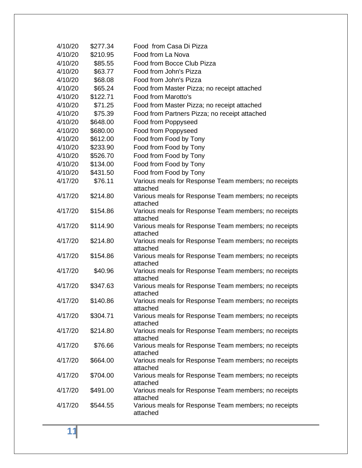| 4/10/20 | \$277.34 | Food from Casa Di Pizza                                          |
|---------|----------|------------------------------------------------------------------|
| 4/10/20 | \$210.95 | Food from La Nova                                                |
| 4/10/20 | \$85.55  | Food from Bocce Club Pizza                                       |
| 4/10/20 | \$63.77  | Food from John's Pizza                                           |
| 4/10/20 | \$68.08  | Food from John's Pizza                                           |
| 4/10/20 | \$65.24  | Food from Master Pizza; no receipt attached                      |
| 4/10/20 | \$122.71 | Food from Marotto's                                              |
| 4/10/20 | \$71.25  | Food from Master Pizza; no receipt attached                      |
| 4/10/20 | \$75.39  | Food from Partners Pizza; no receipt attached                    |
| 4/10/20 | \$648.00 | Food from Poppyseed                                              |
| 4/10/20 | \$680.00 | Food from Poppyseed                                              |
| 4/10/20 | \$612.00 | Food from Food by Tony                                           |
| 4/10/20 | \$233.90 | Food from Food by Tony                                           |
| 4/10/20 | \$526.70 | Food from Food by Tony                                           |
| 4/10/20 | \$134.00 | Food from Food by Tony                                           |
| 4/10/20 | \$431.50 | Food from Food by Tony                                           |
| 4/17/20 | \$76.11  | Various meals for Response Team members; no receipts<br>attached |
| 4/17/20 | \$214.80 | Various meals for Response Team members; no receipts<br>attached |
| 4/17/20 | \$154.86 | Various meals for Response Team members; no receipts<br>attached |
| 4/17/20 | \$114.90 | Various meals for Response Team members; no receipts<br>attached |
| 4/17/20 | \$214.80 | Various meals for Response Team members; no receipts<br>attached |
| 4/17/20 | \$154.86 | Various meals for Response Team members; no receipts<br>attached |
| 4/17/20 | \$40.96  | Various meals for Response Team members; no receipts<br>attached |
| 4/17/20 | \$347.63 | Various meals for Response Team members; no receipts<br>attached |
| 4/17/20 | \$140.86 | Various meals for Response Team members; no receipts<br>attached |
| 4/17/20 | \$304.71 | Various meals for Response Team members; no receipts<br>attached |
| 4/17/20 | \$214.80 | Various meals for Response Team members; no receipts<br>attached |
| 4/17/20 | \$76.66  | Various meals for Response Team members; no receipts<br>attached |
| 4/17/20 | \$664.00 | Various meals for Response Team members; no receipts<br>attached |
| 4/17/20 | \$704.00 | Various meals for Response Team members; no receipts<br>attached |
| 4/17/20 | \$491.00 | Various meals for Response Team members; no receipts<br>attached |
| 4/17/20 | \$544.55 | Various meals for Response Team members; no receipts<br>attached |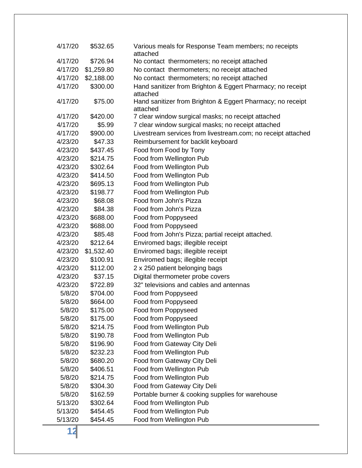| 4/17/20 | \$532.65   | Various meals for Response Team members; no receipts<br>attached       |
|---------|------------|------------------------------------------------------------------------|
| 4/17/20 | \$726.94   | No contact thermometers; no receipt attached                           |
| 4/17/20 | \$1,259.80 | No contact thermometers; no receipt attached                           |
| 4/17/20 | \$2,188.00 | No contact thermometers; no receipt attached                           |
| 4/17/20 | \$300.00   | Hand sanitizer from Brighton & Eggert Pharmacy; no receipt<br>attached |
| 4/17/20 | \$75.00    | Hand sanitizer from Brighton & Eggert Pharmacy; no receipt<br>attached |
| 4/17/20 | \$420.00   | 7 clear window surgical masks; no receipt attached                     |
| 4/17/20 | \$5.99     | 7 clear window surgical masks; no receipt attached                     |
| 4/17/20 | \$900.00   | Livestream services from livestream.com; no receipt attached           |
| 4/23/20 | \$47.33    | Reimbursement for backlit keyboard                                     |
| 4/23/20 | \$437.45   | Food from Food by Tony                                                 |
| 4/23/20 | \$214.75   | Food from Wellington Pub                                               |
| 4/23/20 | \$302.64   | Food from Wellington Pub                                               |
| 4/23/20 | \$414.50   | Food from Wellington Pub                                               |
| 4/23/20 | \$695.13   | Food from Wellington Pub                                               |
| 4/23/20 | \$198.77   | Food from Wellington Pub                                               |
| 4/23/20 | \$68.08    | Food from John's Pizza                                                 |
| 4/23/20 | \$84.38    | Food from John's Pizza                                                 |
| 4/23/20 | \$688.00   | Food from Poppyseed                                                    |
| 4/23/20 | \$688.00   | Food from Poppyseed                                                    |
| 4/23/20 | \$85.48    | Food from John's Pizza; partial receipt attached.                      |
| 4/23/20 | \$212.64   | Enviromed bags; illegible receipt                                      |
| 4/23/20 | \$1,532.40 | Enviromed bags; illegible receipt                                      |
| 4/23/20 | \$100.91   | Enviromed bags; illegible receipt                                      |
| 4/23/20 | \$112.00   | 2 x 250 patient belonging bags                                         |
| 4/23/20 | \$37.15    | Digital thermometer probe covers                                       |
| 4/23/20 | \$722.89   | 32" televisions and cables and antennas                                |
| 5/8/20  | \$704.00   | Food from Poppyseed                                                    |
| 5/8/20  | \$664.00   | Food from Poppyseed                                                    |
| 5/8/20  | \$175.00   | Food from Poppyseed                                                    |
| 5/8/20  | \$175.00   | Food from Poppyseed                                                    |
| 5/8/20  | \$214.75   | Food from Wellington Pub                                               |
| 5/8/20  | \$190.78   | Food from Wellington Pub                                               |
| 5/8/20  | \$196.90   | Food from Gateway City Deli                                            |
| 5/8/20  | \$232.23   | Food from Wellington Pub                                               |
| 5/8/20  | \$680.20   | Food from Gateway City Deli                                            |
| 5/8/20  | \$406.51   | Food from Wellington Pub                                               |
| 5/8/20  | \$214.75   | Food from Wellington Pub                                               |
| 5/8/20  | \$304.30   | Food from Gateway City Deli                                            |
| 5/8/20  | \$162.59   | Portable burner & cooking supplies for warehouse                       |
| 5/13/20 | \$302.64   | Food from Wellington Pub                                               |
| 5/13/20 | \$454.45   | Food from Wellington Pub                                               |
| 5/13/20 | \$454.45   | Food from Wellington Pub                                               |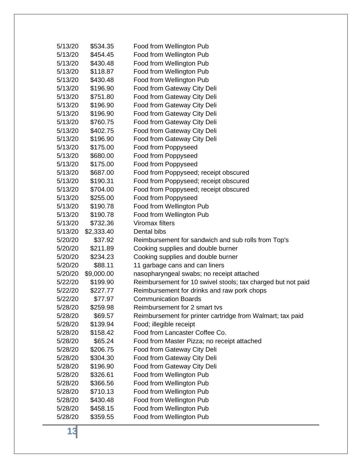| 5/13/20 | \$534.35   | Food from Wellington Pub                                     |
|---------|------------|--------------------------------------------------------------|
| 5/13/20 | \$454.45   | Food from Wellington Pub                                     |
| 5/13/20 | \$430.48   | Food from Wellington Pub                                     |
| 5/13/20 | \$118.87   | Food from Wellington Pub                                     |
| 5/13/20 | \$430.48   | Food from Wellington Pub                                     |
| 5/13/20 | \$196.90   | Food from Gateway City Deli                                  |
| 5/13/20 | \$751.80   | Food from Gateway City Deli                                  |
| 5/13/20 | \$196.90   | Food from Gateway City Deli                                  |
| 5/13/20 | \$196.90   | Food from Gateway City Deli                                  |
| 5/13/20 | \$760.75   | Food from Gateway City Deli                                  |
| 5/13/20 | \$402.75   | Food from Gateway City Deli                                  |
| 5/13/20 | \$196.90   | Food from Gateway City Deli                                  |
| 5/13/20 | \$175.00   | Food from Poppyseed                                          |
| 5/13/20 | \$680.00   | Food from Poppyseed                                          |
| 5/13/20 | \$175.00   | Food from Poppyseed                                          |
| 5/13/20 | \$687.00   | Food from Poppyseed; receipt obscured                        |
| 5/13/20 | \$190.31   | Food from Poppyseed; receipt obscured                        |
| 5/13/20 | \$704.00   | Food from Poppyseed; receipt obscured                        |
| 5/13/20 | \$255.00   | Food from Poppyseed                                          |
| 5/13/20 | \$190.78   | Food from Wellington Pub                                     |
| 5/13/20 | \$190.78   | Food from Wellington Pub                                     |
| 5/13/20 | \$732.36   | Viromax filters                                              |
| 5/13/20 | \$2,333.40 | Dental bibs                                                  |
| 5/20/20 | \$37.92    | Reimbursement for sandwich and sub rolls from Top's          |
| 5/20/20 | \$211.89   | Cooking supplies and double burner                           |
| 5/20/20 | \$234.23   | Cooking supplies and double burner                           |
| 5/20/20 | \$88.11    | 11 garbage cans and can liners                               |
| 5/20/20 | \$9,000.00 | nasopharyngeal swabs; no receipt attached                    |
| 5/22/20 | \$199.90   | Reimbursement for 10 swivel stools; tax charged but not paid |
| 5/22/20 | \$227.77   | Reimbursement for drinks and raw pork chops                  |
| 5/22/20 | \$77.97    | <b>Communication Boards</b>                                  |
| 5/28/20 | \$259.98   | Reimbursement for 2 smart tvs                                |
| 5/28/20 | \$69.57    | Reimbursement for printer cartridge from Walmart; tax paid   |
| 5/28/20 | \$139.94   | Food; illegible receipt                                      |
| 5/28/20 | \$158.42   | Food from Lancaster Coffee Co.                               |
| 5/28/20 | \$65.24    | Food from Master Pizza; no receipt attached                  |
| 5/28/20 | \$206.75   | Food from Gateway City Deli                                  |
| 5/28/20 | \$304.30   | Food from Gateway City Deli                                  |
| 5/28/20 | \$196.90   | Food from Gateway City Deli                                  |
| 5/28/20 | \$326.61   | Food from Wellington Pub                                     |
| 5/28/20 | \$366.56   | Food from Wellington Pub                                     |
| 5/28/20 | \$710.13   | Food from Wellington Pub                                     |
| 5/28/20 | \$430.48   | Food from Wellington Pub                                     |
| 5/28/20 | \$458.15   | Food from Wellington Pub                                     |
| 5/28/20 | \$359.55   | Food from Wellington Pub                                     |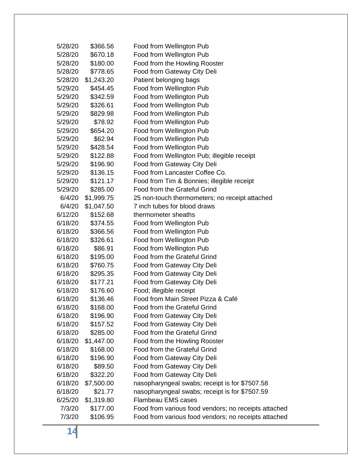| 5/28/20 | \$366.56   | Food from Wellington Pub                             |
|---------|------------|------------------------------------------------------|
| 5/28/20 | \$670.18   | Food from Wellington Pub                             |
| 5/28/20 | \$180.00   | Food from the Howling Rooster                        |
| 5/28/20 | \$778.65   | Food from Gateway City Deli                          |
| 5/28/20 | \$1,243.20 | Patient belonging bags                               |
| 5/29/20 | \$454.45   | Food from Wellington Pub                             |
| 5/29/20 | \$342.59   | Food from Wellington Pub                             |
| 5/29/20 | \$326.61   | Food from Wellington Pub                             |
| 5/29/20 | \$829.98   | Food from Wellington Pub                             |
| 5/29/20 | \$78.92    | Food from Wellington Pub                             |
| 5/29/20 | \$654.20   | Food from Wellington Pub                             |
| 5/29/20 | \$62.94    | Food from Wellington Pub                             |
| 5/29/20 | \$428.54   | Food from Wellington Pub                             |
| 5/29/20 | \$122.88   | Food from Wellington Pub; illegible receipt          |
| 5/29/20 | \$196.90   | Food from Gateway City Deli                          |
| 5/29/20 | \$136.15   | Food from Lancaster Coffee Co.                       |
| 5/29/20 | \$121.17   | Food from Tim & Bonnies; illegible receipt           |
| 5/29/20 | \$285.00   | Food from the Grateful Grind                         |
| 6/4/20  | \$1,999.75 | 25 non-touch thermometers; no receipt attached       |
| 6/4/20  | \$1,047.50 | 7 inch tubes for blood draws                         |
| 6/12/20 | \$152.68   | thermometer sheaths                                  |
| 6/18/20 | \$374.55   | Food from Wellington Pub                             |
| 6/18/20 | \$366.56   | Food from Wellington Pub                             |
| 6/18/20 | \$326.61   | Food from Wellington Pub                             |
| 6/18/20 | \$86.91    | Food from Wellington Pub                             |
| 6/18/20 | \$195.00   | Food from the Grateful Grind                         |
| 6/18/20 | \$760.75   | Food from Gateway City Deli                          |
| 6/18/20 | \$295.35   | Food from Gateway City Deli                          |
| 6/18/20 | \$177.21   | Food from Gateway City Deli                          |
| 6/18/20 | \$176.60   | Food; illegible receipt                              |
| 6/18/20 | \$136.46   | Food from Main Street Pizza & Café                   |
| 6/18/20 | \$168.00   | Food from the Grateful Grind                         |
| 6/18/20 | \$196.90   | Food from Gateway City Deli                          |
| 6/18/20 | \$157.52   | Food from Gateway City Deli                          |
| 6/18/20 | \$285.00   | Food from the Grateful Grind                         |
| 6/18/20 | \$1,447.00 | Food from the Howling Rooster                        |
| 6/18/20 | \$168.00   | Food from the Grateful Grind                         |
| 6/18/20 | \$196.90   | Food from Gateway City Deli                          |
| 6/18/20 | \$89.50    | Food from Gateway City Deli                          |
| 6/18/20 | \$322.20   | Food from Gateway City Deli                          |
| 6/18/20 | \$7,500.00 | nasopharyngeal swabs; receipt is for \$7507.58       |
| 6/18/20 | \$21.77    | nasopharyngeal swabs; receipt is for \$7507.59       |
| 6/25/20 | \$1,319.80 | <b>Flambeau EMS cases</b>                            |
| 7/3/20  | \$177.00   | Food from various food vendors; no receipts attached |
| 7/3/20  | \$106.95   | Food from various food vendors; no receipts attached |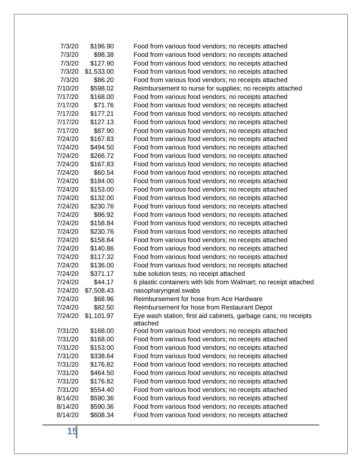| 7/3/20  | \$196.90   | Food from various food vendors; no receipts attached                        |
|---------|------------|-----------------------------------------------------------------------------|
| 7/3/20  | \$98.38    | Food from various food vendors; no receipts attached                        |
| 7/3/20  | \$127.90   | Food from various food vendors; no receipts attached                        |
| 7/3/20  | \$1,533.00 | Food from various food vendors; no receipts attached                        |
| 7/3/20  | \$86.20    | Food from various food vendors; no receipts attached                        |
| 7/10/20 | \$598.02   | Reimbursement to nurse for supplies; no receipts attached                   |
| 7/17/20 | \$168.00   | Food from various food vendors; no receipts attached                        |
| 7/17/20 | \$71.76    | Food from various food vendors; no receipts attached                        |
| 7/17/20 | \$177.21   | Food from various food vendors; no receipts attached                        |
| 7/17/20 | \$127.13   | Food from various food vendors; no receipts attached                        |
| 7/17/20 | \$87.90    | Food from various food vendors; no receipts attached                        |
| 7/24/20 | \$167.83   | Food from various food vendors; no receipts attached                        |
| 7/24/20 | \$494.50   | Food from various food vendors; no receipts attached                        |
| 7/24/20 | \$266.72   | Food from various food vendors; no receipts attached                        |
| 7/24/20 | \$167.83   | Food from various food vendors; no receipts attached                        |
| 7/24/20 | \$60.54    | Food from various food vendors; no receipts attached                        |
| 7/24/20 | \$184.00   | Food from various food vendors; no receipts attached                        |
| 7/24/20 | \$153.00   | Food from various food vendors; no receipts attached                        |
| 7/24/20 | \$132.00   | Food from various food vendors; no receipts attached                        |
| 7/24/20 | \$230.76   | Food from various food vendors; no receipts attached                        |
| 7/24/20 | \$86.92    | Food from various food vendors; no receipts attached                        |
| 7/24/20 | \$158.84   | Food from various food vendors; no receipts attached                        |
| 7/24/20 | \$230.76   | Food from various food vendors; no receipts attached                        |
| 7/24/20 | \$158.84   | Food from various food vendors; no receipts attached                        |
| 7/24/20 | \$140.86   | Food from various food vendors; no receipts attached                        |
| 7/24/20 | \$117.32   | Food from various food vendors; no receipts attached                        |
| 7/24/20 | \$136.00   | Food from various food vendors; no receipts attached                        |
| 7/24/20 | \$371.17   | tube solution tests; no receipt attached                                    |
| 7/24/20 | \$44.17    | 6 plastic containers with lids from Walmart; no receipt attached            |
| 7/24/20 | \$7,508.43 | nasopharyngeal swabs                                                        |
| 7/24/20 | \$68.96    | Reimbursement for hose from Ace Hardware                                    |
| 7/24/20 | \$82.50    | Reimbursement for hose from Restaurant Depot                                |
| 7/24/20 | \$1,101.97 | Eye wash station, first aid cabinets, garbage cans; no receipts<br>attached |
| 7/31/20 | \$168.00   | Food from various food vendors; no receipts attached                        |
| 7/31/20 | \$168.00   | Food from various food vendors; no receipts attached                        |
| 7/31/20 | \$153.00   | Food from various food vendors; no receipts attached                        |
| 7/31/20 | \$338.64   | Food from various food vendors; no receipts attached                        |
| 7/31/20 | \$176.82   | Food from various food vendors; no receipts attached                        |
| 7/31/20 | \$464.50   | Food from various food vendors; no receipts attached                        |
| 7/31/20 | \$176.82   | Food from various food vendors; no receipts attached                        |
| 7/31/20 | \$554.40   | Food from various food vendors; no receipts attached                        |
| 8/14/20 | \$590.36   | Food from various food vendors; no receipts attached                        |
| 8/14/20 | \$590.36   | Food from various food vendors; no receipts attached                        |
| 8/14/20 | \$608.34   | Food from various food vendors; no receipts attached                        |
|         |            |                                                                             |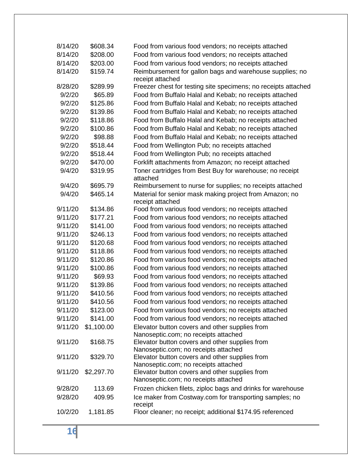| 8/14/20 | \$608.34   | Food from various food vendors; no receipts attached                                   |
|---------|------------|----------------------------------------------------------------------------------------|
| 8/14/20 | \$208.00   | Food from various food vendors; no receipts attached                                   |
| 8/14/20 | \$203.00   | Food from various food vendors; no receipts attached                                   |
| 8/14/20 | \$159.74   | Reimbursement for gallon bags and warehouse supplies; no<br>receipt attached           |
| 8/28/20 | \$289.99   | Freezer chest for testing site specimens; no receipts attached                         |
| 9/2/20  | \$65.89    | Food from Buffalo Halal and Kebab; no receipts attached                                |
| 9/2/20  | \$125.86   | Food from Buffalo Halal and Kebab; no receipts attached                                |
| 9/2/20  | \$139.86   | Food from Buffalo Halal and Kebab; no receipts attached                                |
| 9/2/20  | \$118.86   | Food from Buffalo Halal and Kebab; no receipts attached                                |
| 9/2/20  | \$100.86   | Food from Buffalo Halal and Kebab; no receipts attached                                |
| 9/2/20  | \$98.88    | Food from Buffalo Halal and Kebab; no receipts attached                                |
| 9/2/20  | \$518.44   | Food from Wellington Pub; no receipts attached                                         |
| 9/2/20  | \$518.44   | Food from Wellington Pub; no receipts attached                                         |
| 9/2/20  | \$470.00   | Forklift attachments from Amazon; no receipt attached                                  |
| 9/4/20  | \$319.95   | Toner cartridges from Best Buy for warehouse; no receipt<br>attached                   |
| 9/4/20  | \$695.79   | Reimbursement to nurse for supplies; no receipts attached                              |
| 9/4/20  | \$465.14   | Material for senior mask making project from Amazon; no<br>receipt attached            |
| 9/11/20 | \$134.86   | Food from various food vendors; no receipts attached                                   |
| 9/11/20 | \$177.21   | Food from various food vendors; no receipts attached                                   |
| 9/11/20 | \$141.00   | Food from various food vendors; no receipts attached                                   |
| 9/11/20 | \$246.13   | Food from various food vendors; no receipts attached                                   |
| 9/11/20 | \$120.68   | Food from various food vendors; no receipts attached                                   |
| 9/11/20 | \$118.86   | Food from various food vendors; no receipts attached                                   |
| 9/11/20 | \$120.86   | Food from various food vendors; no receipts attached                                   |
| 9/11/20 | \$100.86   | Food from various food vendors; no receipts attached                                   |
| 9/11/20 | \$69.93    | Food from various food vendors; no receipts attached                                   |
| 9/11/20 | \$139.86   | Food from various food vendors; no receipts attached                                   |
| 9/11/20 | \$410.56   | Food from various food vendors; no receipts attached                                   |
| 9/11/20 | \$410.56   | Food from various food vendors; no receipts attached                                   |
| 9/11/20 | \$123.00   | Food from various food vendors; no receipts attached                                   |
| 9/11/20 | \$141.00   | Food from various food vendors; no receipts attached                                   |
| 9/11/20 | \$1,100.00 | Elevator button covers and other supplies from<br>Nanoseptic.com; no receipts attached |
| 9/11/20 | \$168.75   | Elevator button covers and other supplies from<br>Nanoseptic.com; no receipts attached |
| 9/11/20 | \$329.70   | Elevator button covers and other supplies from<br>Nanoseptic.com; no receipts attached |
| 9/11/20 | \$2,297.70 | Elevator button covers and other supplies from<br>Nanoseptic.com; no receipts attached |
| 9/28/20 | 113.69     | Frozen chicken filets, ziploc bags and drinks for warehouse                            |
| 9/28/20 | 409.95     | Ice maker from Costway.com for transporting samples; no<br>receipt                     |
| 10/2/20 | 1,181.85   | Floor cleaner; no receipt; additional \$174.95 referenced                              |